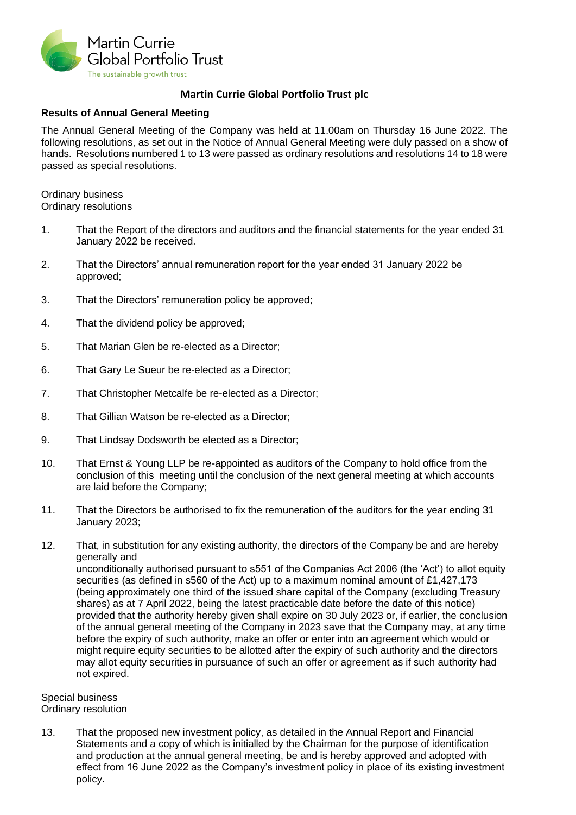

## **Martin Currie Global Portfolio Trust plc**

## **Results of Annual General Meeting**

The Annual General Meeting of the Company was held at 11.00am on Thursday 16 June 2022. The following resolutions, as set out in the Notice of Annual General Meeting were duly passed on a show of hands. Resolutions numbered 1 to 13 were passed as ordinary resolutions and resolutions 14 to 18 were passed as special resolutions.

Ordinary business Ordinary resolutions

- 1. That the Report of the directors and auditors and the financial statements for the year ended 31 January 2022 be received.
- 2. That the Directors' annual remuneration report for the year ended 31 January 2022 be approved;
- 3. That the Directors' remuneration policy be approved;
- 4. That the dividend policy be approved;
- 5. That Marian Glen be re-elected as a Director;
- 6. That Gary Le Sueur be re-elected as a Director;
- 7. That Christopher Metcalfe be re-elected as a Director;
- 8. That Gillian Watson be re-elected as a Director;
- 9. That Lindsay Dodsworth be elected as a Director;
- 10. That Ernst & Young LLP be re-appointed as auditors of the Company to hold office from the conclusion of this meeting until the conclusion of the next general meeting at which accounts are laid before the Company;
- 11. That the Directors be authorised to fix the remuneration of the auditors for the year ending 31 January 2023;
- 12. That, in substitution for any existing authority, the directors of the Company be and are hereby generally and unconditionally authorised pursuant to s551 of the Companies Act 2006 (the 'Act') to allot equity securities (as defined in s560 of the Act) up to a maximum nominal amount of £1,427,173 (being approximately one third of the issued share capital of the Company (excluding Treasury shares) as at 7 April 2022, being the latest practicable date before the date of this notice) provided that the authority hereby given shall expire on 30 July 2023 or, if earlier, the conclusion of the annual general meeting of the Company in 2023 save that the Company may, at any time before the expiry of such authority, make an offer or enter into an agreement which would or might require equity securities to be allotted after the expiry of such authority and the directors may allot equity securities in pursuance of such an offer or agreement as if such authority had not expired.

Special business Ordinary resolution

13. That the proposed new investment policy, as detailed in the Annual Report and Financial Statements and a copy of which is initialled by the Chairman for the purpose of identification and production at the annual general meeting, be and is hereby approved and adopted with effect from 16 June 2022 as the Company's investment policy in place of its existing investment policy.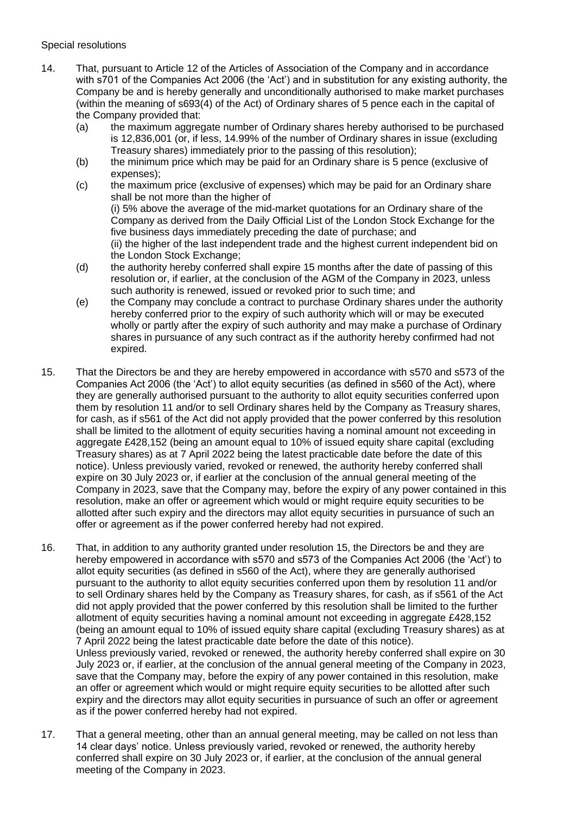## Special resolutions

- 14. That, pursuant to Article 12 of the Articles of Association of the Company and in accordance with s701 of the Companies Act 2006 (the 'Act') and in substitution for any existing authority, the Company be and is hereby generally and unconditionally authorised to make market purchases (within the meaning of s693(4) of the Act) of Ordinary shares of 5 pence each in the capital of the Company provided that:
	- (a) the maximum aggregate number of Ordinary shares hereby authorised to be purchased is 12,836,001 (or, if less, 14.99% of the number of Ordinary shares in issue (excluding Treasury shares) immediately prior to the passing of this resolution);
	- (b) the minimum price which may be paid for an Ordinary share is 5 pence (exclusive of expenses);
	- (c) the maximum price (exclusive of expenses) which may be paid for an Ordinary share shall be not more than the higher of (i) 5% above the average of the mid-market quotations for an Ordinary share of the Company as derived from the Daily Official List of the London Stock Exchange for the five business days immediately preceding the date of purchase; and (ii) the higher of the last independent trade and the highest current independent bid on the London Stock Exchange;
	- (d) the authority hereby conferred shall expire 15 months after the date of passing of this resolution or, if earlier, at the conclusion of the AGM of the Company in 2023, unless such authority is renewed, issued or revoked prior to such time; and
	- (e) the Company may conclude a contract to purchase Ordinary shares under the authority hereby conferred prior to the expiry of such authority which will or may be executed wholly or partly after the expiry of such authority and may make a purchase of Ordinary shares in pursuance of any such contract as if the authority hereby confirmed had not expired.
- 15. That the Directors be and they are hereby empowered in accordance with s570 and s573 of the Companies Act 2006 (the 'Act') to allot equity securities (as defined in s560 of the Act), where they are generally authorised pursuant to the authority to allot equity securities conferred upon them by resolution 11 and/or to sell Ordinary shares held by the Company as Treasury shares, for cash, as if s561 of the Act did not apply provided that the power conferred by this resolution shall be limited to the allotment of equity securities having a nominal amount not exceeding in aggregate £428,152 (being an amount equal to 10% of issued equity share capital (excluding Treasury shares) as at 7 April 2022 being the latest practicable date before the date of this notice). Unless previously varied, revoked or renewed, the authority hereby conferred shall expire on 30 July 2023 or, if earlier at the conclusion of the annual general meeting of the Company in 2023, save that the Company may, before the expiry of any power contained in this resolution, make an offer or agreement which would or might require equity securities to be allotted after such expiry and the directors may allot equity securities in pursuance of such an offer or agreement as if the power conferred hereby had not expired.
- 16. That, in addition to any authority granted under resolution 15, the Directors be and they are hereby empowered in accordance with s570 and s573 of the Companies Act 2006 (the 'Act') to allot equity securities (as defined in s560 of the Act), where they are generally authorised pursuant to the authority to allot equity securities conferred upon them by resolution 11 and/or to sell Ordinary shares held by the Company as Treasury shares, for cash, as if s561 of the Act did not apply provided that the power conferred by this resolution shall be limited to the further allotment of equity securities having a nominal amount not exceeding in aggregate £428,152 (being an amount equal to 10% of issued equity share capital (excluding Treasury shares) as at 7 April 2022 being the latest practicable date before the date of this notice). Unless previously varied, revoked or renewed, the authority hereby conferred shall expire on 30 July 2023 or, if earlier, at the conclusion of the annual general meeting of the Company in 2023, save that the Company may, before the expiry of any power contained in this resolution, make an offer or agreement which would or might require equity securities to be allotted after such expiry and the directors may allot equity securities in pursuance of such an offer or agreement as if the power conferred hereby had not expired.
- 17. That a general meeting, other than an annual general meeting, may be called on not less than 14 clear days' notice. Unless previously varied, revoked or renewed, the authority hereby conferred shall expire on 30 July 2023 or, if earlier, at the conclusion of the annual general meeting of the Company in 2023.